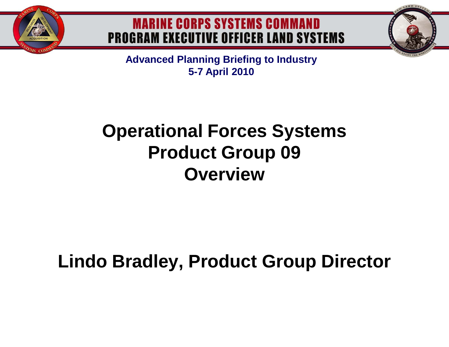

## **MARINE CORPS SYSTEMS COMMAND PROGRAM EXECUTIVE OFFICER LAND SYSTEMS**

**Advanced Planning Briefing to Industry 5-7 April 2010**

# **Operational Forces Systems Product Group 09 Overview**

# **Lindo Bradley, Product Group Director**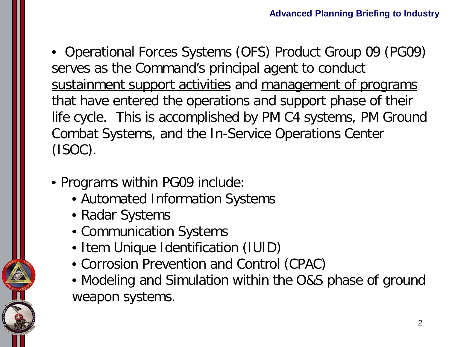• Operational Forces Systems (OFS) Product Group 09 (PG09) serves as the Command's principal agent to conduct sustainment support activities and management of programs that have entered the operations and support phase of their life cycle. This is accomplished by PM C4 systems, PM Ground Combat Systems, and the In-Service Operations Center (ISOC).

- Programs within PG09 include:
	- Automated Information Systems
	- Radar Systems
	- Communication Systems
	- Item Unique Identification (IUID)
	- Corrosion Prevention and Control (CPAC)
	- Modeling and Simulation within the O&S phase of ground weapon systems.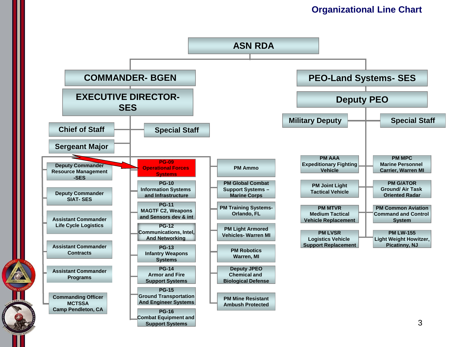### **Organizational Line Chart**

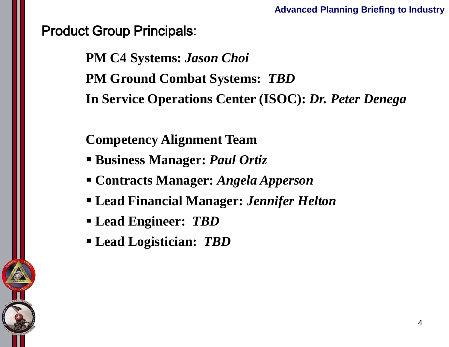## Product Group Principals:

**PM C4 Systems:** *Jason Choi* **PM Ground Combat Systems:** *TBD* **In Service Operations Center (ISOC):** *Dr. Peter Denega*

**Competency Alignment Team** 

- **Business Manager:** *Paul Ortiz*
- **Contracts Manager:** *Angela Apperson*
- **Lead Financial Manager:** *Jennifer Helton*
- **Lead Engineer:** *TBD*
- **Lead Logistician:** *TBD*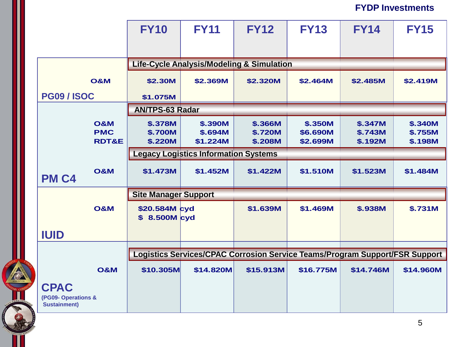**FYDP Investments**

|                                                          | <b>FY10</b>                                                                 | <b>FY11</b>                           | <b>FY12</b>                          | <b>FY13</b>                     | <b>FY14</b>                   | <b>FY15</b>                                 |
|----------------------------------------------------------|-----------------------------------------------------------------------------|---------------------------------------|--------------------------------------|---------------------------------|-------------------------------|---------------------------------------------|
|                                                          |                                                                             |                                       |                                      |                                 |                               |                                             |
|                                                          | <b>Life-Cycle Analysis/Modeling &amp; Simulation</b>                        |                                       |                                      |                                 |                               |                                             |
| <b>O&amp;M</b>                                           | \$2.30M                                                                     | \$2.369M                              | \$2.320M                             | \$2.464M                        | \$2.485M                      | \$2.419M                                    |
| <b>PG09 / ISOC</b>                                       | \$1.075M                                                                    |                                       |                                      |                                 |                               |                                             |
|                                                          | <b>AN/TPS-63 Radar</b>                                                      |                                       |                                      |                                 |                               |                                             |
| <b>O&amp;M</b><br><b>PMC</b><br><b>RDT&amp;E</b>         | \$.378M<br><b>\$.700M</b><br>\$.220M                                        | <b>\$.390M</b><br>\$.694M<br>\$1.224M | \$.366M<br><b>\$.720M</b><br>\$.208M | \$.350M<br>\$6.690M<br>\$2.699M | \$.347M<br>\$.743M<br>\$.192M | <b>\$.340M</b><br>\$.755M<br><b>\$.198M</b> |
|                                                          | <b>Legacy Logistics Information Systems</b>                                 |                                       |                                      |                                 |                               |                                             |
| <b>O&amp;M</b><br>PM <sub>C4</sub>                       | \$1.473M                                                                    | \$1.452M                              | \$1.422M                             | \$1.510M                        | \$1.523M                      | \$1.484M                                    |
|                                                          | <b>Site Manager Support</b>                                                 |                                       |                                      |                                 |                               |                                             |
| <b>O&amp;M</b>                                           | \$20.584M cyd<br>\$ 8.500M cyd                                              |                                       | \$1.639M                             | \$1.469M                        | <b>\$.938M</b>                | \$.731M                                     |
| <b>IUID</b>                                              |                                                                             |                                       |                                      |                                 |                               |                                             |
|                                                          |                                                                             |                                       |                                      |                                 |                               |                                             |
|                                                          | Logistics Services/CPAC Corrosion Service Teams/Program Support/FSR Support |                                       |                                      |                                 |                               |                                             |
| <b>O&amp;M</b>                                           | \$10.305M                                                                   | \$14.820M                             | \$15.913M                            | \$16.775M                       | \$14.746M                     | \$14.960M                                   |
| <b>CPAC</b><br>(PG09-Operations &<br><b>Sustainment)</b> |                                                                             |                                       |                                      |                                 |                               |                                             |

**ACCES**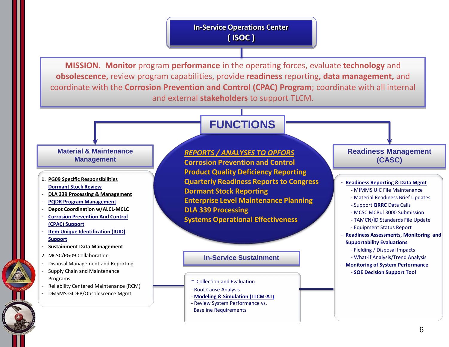### **In-Service Operations Center ( ISOC )**

**MISSION. Monitor** program **performance** in the operating forces, evaluate **technology** and **obsolescence,** review program capabilities, provide **readiness** reporting**, data management,** and coordinate with the **Corrosion Prevention and Control (CPAC) Program**; coordinate with all internal and external **stakeholders** to support TLCM.

### **FUNCTIONS**

#### **Material & Maintenance Management**

- **1. PG09 Specific Responsibilities**
- **Dormant Stock Review**
- **DLA 339 Processing & Management**
- **PQDR Program Management**
- **Depot Coordination w/ALCL-MCLC**
- **Corrosion Prevention And Control (CPAC) Support**
- **Item Unique Identification (IUID) Support**
- **Sustainment Data Management**
- 2. MCSC/PG09 Collaboration
- Disposal Management and Reporting
- Supply Chain and Maintenance Programs
- Reliability Centered Maintenance (RCM)
- DMSMS-GIDEP/Obsolescence Mgmt

*REPORTS / ANALYSES TO OPFORS* **Corrosion Prevention and Control Product Quality Deficiency Reporting Quarterly Readiness Reports to Congress Dormant Stock Reporting Enterprise Level Maintenance Planning DLA 339 Processing Systems Operational Effectiveness**

#### **In-Service Sustainment**

#### - Collection and Evaluation

- Root Cause Analysis
- **Modeling & Simulation (TLCM-AT**)
- Review System Performance vs.
- Baseline Requirements

#### **Readiness Management (CASC)**

#### - **Readiness Reporting & Data Mgmt**

- MIMMS UIC File Maintenance
- Material Readiness Brief Updates
- Support **QRRC** Data Calls
- MCSC MCBul 3000 Submission
- TAMCN/ID Standards File Update
- Equipment Status Report
- **Readiness Assessments, Monitoring and Supportability Evaluations**
	- Fielding / Disposal Impacts
	- What-if Analysis/Trend Analysis
- **Monitoring of System Performance** - **SOE Decision Support Tool**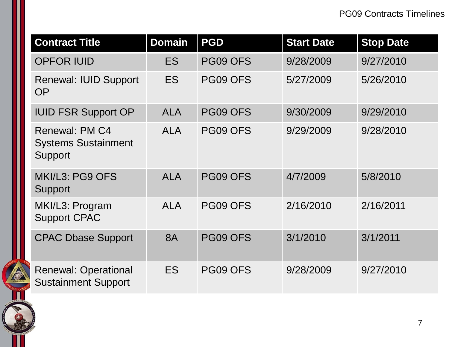| <b>Contract Title</b>                                          | <b>Domain</b> | <b>PGD</b> | <b>Start Date</b> | <b>Stop Date</b> |
|----------------------------------------------------------------|---------------|------------|-------------------|------------------|
| <b>OPFOR IUID</b>                                              | <b>ES</b>     | PG09 OFS   | 9/28/2009         | 9/27/2010        |
| <b>Renewal: IUID Support</b><br><b>OP</b>                      | <b>ES</b>     | PG09 OFS   | 5/27/2009         | 5/26/2010        |
| <b>IUID FSR Support OP</b>                                     | <b>ALA</b>    | PG09 OFS   | 9/30/2009         | 9/29/2010        |
| <b>Renewal: PM C4</b><br><b>Systems Sustainment</b><br>Support | <b>ALA</b>    | PG09 OFS   | 9/29/2009         | 9/28/2010        |
| MKI/L3: PG9 OFS<br>Support                                     | <b>ALA</b>    | PG09 OFS   | 4/7/2009          | 5/8/2010         |
| MKI/L3: Program<br><b>Support CPAC</b>                         | <b>ALA</b>    | PG09 OFS   | 2/16/2010         | 2/16/2011        |
| <b>CPAC Dbase Support</b>                                      | <b>8A</b>     | PG09 OFS   | 3/1/2010          | 3/1/2011         |
| <b>Renewal: Operational</b><br><b>Sustainment Support</b>      | <b>ES</b>     | PG09 OFS   | 9/28/2009         | 9/27/2010        |

**AND AND AND ADDRESS** 

**SIGNS CO**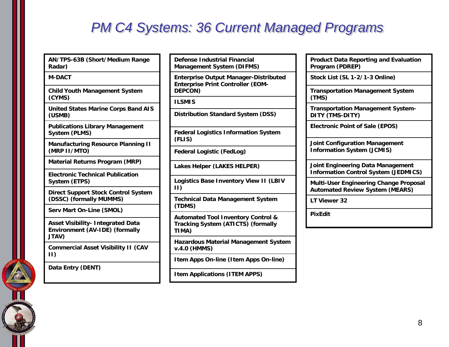## *PM C4 Systems: 36 Current Managed Programs*

**AN/TPS-63B (Short/Medium Range Radar)**

#### **M-DACT**

**Child Youth Management System (CYMS)**

**United States Marine Corps Band AIS (USMB)**

**Publications Library Management System (PLMS)**

**Manufacturing Resource Planning II (MRP II/MTO)**

**Material Returns Program (MRP)**

**Electronic Technical Publication System (ETPS)**

**Direct Support Stock Control System (DSSC) (formally MUMMS)**

**Serv Mart On-Line (SMOL)**

**Asset Visibility- Integrated Data Environment (AV-IDE) (formally JTAV)**

**Commercial Asset Visibility II (CAV II)**

**Data Entry (DENT)**

**Defense Industrial Financial Management System (DIFMS)**

**Enterprise Output Manager-Distributed Enterprise Print Controller (EOM-DEPCON)** 

**ILSMIS** 

**Distribution Standard System (DSS)**

**Federal Logistics Information System (FLIS)**

**Federal Logistic (FedLog)**

**Lakes Helper (LAKES HELPER)**

**Logistics Base Inventory View II (LBIV II)**

**Technical Data Management System (TDMS)**

**Automated Tool Inventory Control & Tracking System (ATICTS) (formally TIMA)**

**Hazardous Material Management System v.4.0 (HMMS)**

**Item Apps On-line (Item Apps On-line)**

**Item Applications (ITEM APPS)**

| <b>Product Data Reporting and Evaluation</b> |
|----------------------------------------------|
| Program (PDREP)                              |

**Stock List (SL 1-2/1-3 Online)**

**Transportation Management System (TMS)**

**Transportation Management System-DITY (TMS-DITY)**

**Electronic Point of Sale (EPOS)**

**Joint Configuration Management Information System (JCMIS)**

**Joint Engineering Data Management Information Control System (JEDMICS)**

**Multi-User Engineering Change Proposal Automated Review System (MEARS)**

**LT Viewer 32**

**PixEdit**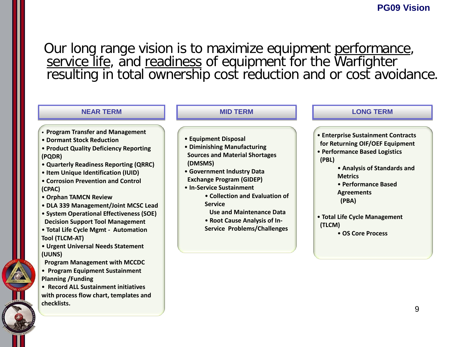Our long range vision is to maximize equipment performance, service life, and readiness of equipment for the Warfighter resulting in total ownership cost reduction and or cost avoidance.

| <b>NEAR TERM</b>                                                                                                                                                                                                                                                                                                                                                                                                                                                                                                                                                                                                                                                                                                                      | <b>MID TERM</b>                                                                                                                                                                                                                                                                                                                                                   | <b>LONG TERM</b>                                                                                                                                                                                                                                                                      |
|---------------------------------------------------------------------------------------------------------------------------------------------------------------------------------------------------------------------------------------------------------------------------------------------------------------------------------------------------------------------------------------------------------------------------------------------------------------------------------------------------------------------------------------------------------------------------------------------------------------------------------------------------------------------------------------------------------------------------------------|-------------------------------------------------------------------------------------------------------------------------------------------------------------------------------------------------------------------------------------------------------------------------------------------------------------------------------------------------------------------|---------------------------------------------------------------------------------------------------------------------------------------------------------------------------------------------------------------------------------------------------------------------------------------|
| • Program Transfer and Management<br>• Dormant Stock Reduction<br>• Product Quality Deficiency Reporting<br>(PQDR)<br>• Quarterly Readiness Reporting (QRRC)<br>• Item Unique Identification (IUID)<br>• Corrosion Prevention and Control<br>(CPAC)<br>• Orphan TAMCN Review<br>• DLA 339 Management/Joint MCSC Lead<br>• System Operational Effectiveness (SOE)<br><b>Decision Support Tool Management</b><br>• Total Life Cycle Mgmt - Automation<br><b>Tool (TLCM-AT)</b><br>• Urgent Universal Needs Statement<br>(UUNS)<br><b>Program Management with MCCDC</b><br>• Program Equipment Sustainment<br><b>Planning / Funding</b><br>• Record ALL Sustainment initiatives<br>with process flow chart, templates and<br>checklists. | • Equipment Disposal<br>• Diminishing Manufacturing<br><b>Sources and Material Shortages</b><br>(DMSMS)<br>• Government Industry Data<br><b>Exchange Program (GIDEP)</b><br>• In-Service Sustainment<br>• Collection and Evaluation of<br><b>Service</b><br><b>Use and Maintenance Data</b><br>• Root Cause Analysis of In-<br><b>Service Problems/Challenges</b> | • Enterprise Sustainment Contracts<br>for Returning OIF/OEF Equipment<br>• Performance Based Logistics<br>(PBL)<br>• Analysis of Standards and<br><b>Metrics</b><br>• Performance Based<br><b>Agreements</b><br>(PBA)<br>• Total Life Cycle Management<br>(TLCM)<br>• OS Core Process |
|                                                                                                                                                                                                                                                                                                                                                                                                                                                                                                                                                                                                                                                                                                                                       |                                                                                                                                                                                                                                                                                                                                                                   | 9                                                                                                                                                                                                                                                                                     |